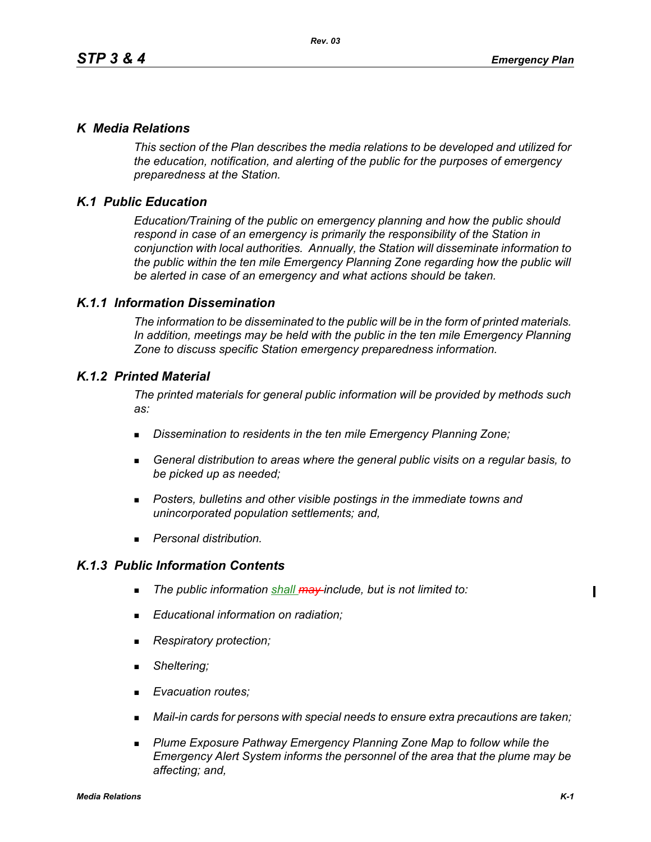## *K Media Relations*

*This section of the Plan describes the media relations to be developed and utilized for the education, notification, and alerting of the public for the purposes of emergency preparedness at the Station.*

# *K.1 Public Education*

*Education/Training of the public on emergency planning and how the public should respond in case of an emergency is primarily the responsibility of the Station in conjunction with local authorities. Annually, the Station will disseminate information to the public within the ten mile Emergency Planning Zone regarding how the public will be alerted in case of an emergency and what actions should be taken.* 

## *K.1.1 Information Dissemination*

*The information to be disseminated to the public will be in the form of printed materials. In addition, meetings may be held with the public in the ten mile Emergency Planning Zone to discuss specific Station emergency preparedness information.* 

## *K.1.2 Printed Material*

*The printed materials for general public information will be provided by methods such as:* 

- *Dissemination to residents in the ten mile Emergency Planning Zone;*
- *General distribution to areas where the general public visits on a regular basis, to be picked up as needed;*
- *Posters, bulletins and other visible postings in the immediate towns and unincorporated population settlements; and,*
- *Personal distribution.*

## *K.1.3 Public Information Contents*

- *The public information shall may include, but is not limited to:*
- *Educational information on radiation;*
- *Respiratory protection;*
- *Sheltering;*
- *Evacuation routes;*
- *Mail-in cards for persons with special needs to ensure extra precautions are taken;*
- **Plume Exposure Pathway Emergency Planning Zone Map to follow while the** *Emergency Alert System informs the personnel of the area that the plume may be affecting; and,*

 $\blacksquare$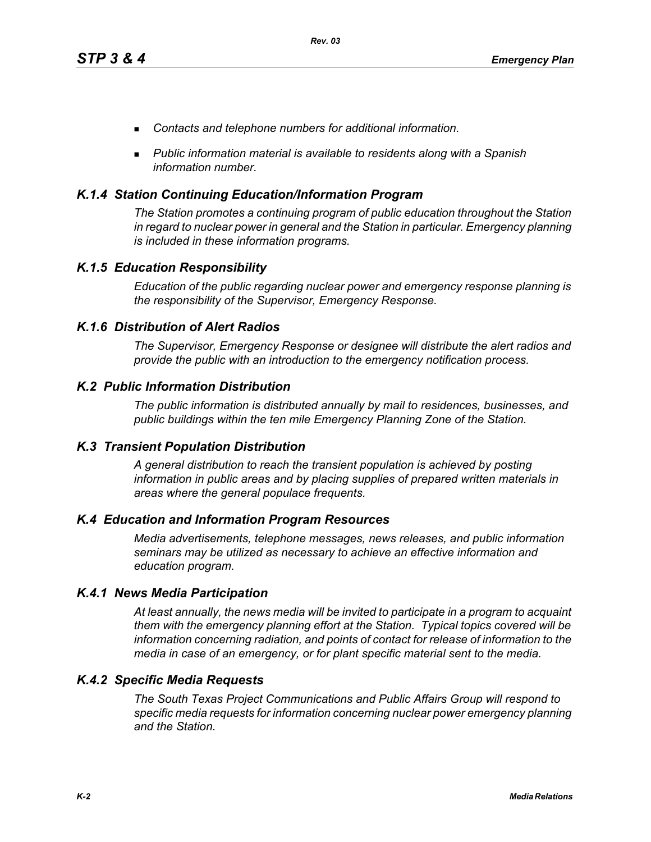- *Contacts and telephone numbers for additional information.*
- *Public information material is available to residents along with a Spanish information number.*

## *K.1.4 Station Continuing Education/Information Program*

*The Station promotes a continuing program of public education throughout the Station in regard to nuclear power in general and the Station in particular. Emergency planning is included in these information programs.* 

## *K.1.5 Education Responsibility*

*Education of the public regarding nuclear power and emergency response planning is the responsibility of the Supervisor, Emergency Response.* 

## *K.1.6 Distribution of Alert Radios*

*The Supervisor, Emergency Response or designee will distribute the alert radios and provide the public with an introduction to the emergency notification process.* 

## *K.2 Public Information Distribution*

*The public information is distributed annually by mail to residences, businesses, and public buildings within the ten mile Emergency Planning Zone of the Station.*

## *K.3 Transient Population Distribution*

*A general distribution to reach the transient population is achieved by posting information in public areas and by placing supplies of prepared written materials in areas where the general populace frequents.* 

## *K.4 Education and Information Program Resources*

*Media advertisements, telephone messages, news releases, and public information seminars may be utilized as necessary to achieve an effective information and education program.* 

## *K.4.1 News Media Participation*

*At least annually, the news media will be invited to participate in a program to acquaint them with the emergency planning effort at the Station. Typical topics covered will be information concerning radiation, and points of contact for release of information to the media in case of an emergency, or for plant specific material sent to the media.*

## *K.4.2 Specific Media Requests*

*The South Texas Project Communications and Public Affairs Group will respond to specific media requests for information concerning nuclear power emergency planning and the Station.*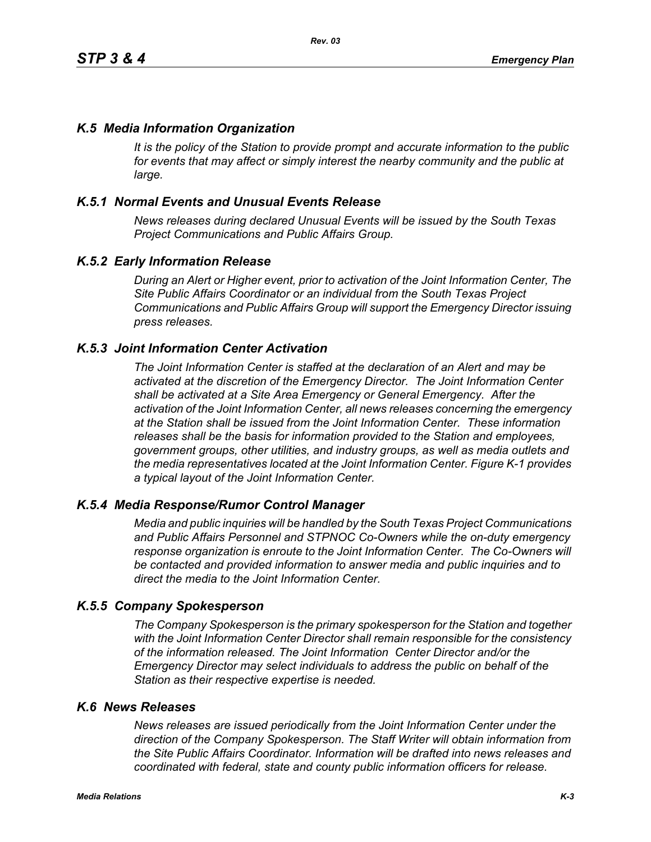## *K.5 Media Information Organization*

*It is the policy of the Station to provide prompt and accurate information to the public*  for events that may affect or simply interest the nearby community and the public at *large.* 

## *K.5.1 Normal Events and Unusual Events Release*

*News releases during declared Unusual Events will be issued by the South Texas Project Communications and Public Affairs Group.* 

## *K.5.2 Early Information Release*

*During an Alert or Higher event, prior to activation of the Joint Information Center, The Site Public Affairs Coordinator or an individual from the South Texas Project Communications and Public Affairs Group will support the Emergency Director issuing press releases.* 

## *K.5.3 Joint Information Center Activation*

*The Joint Information Center is staffed at the declaration of an Alert and may be activated at the discretion of the Emergency Director. The Joint Information Center shall be activated at a Site Area Emergency or General Emergency. After the activation of the Joint Information Center, all news releases concerning the emergency at the Station shall be issued from the Joint Information Center. These information releases shall be the basis for information provided to the Station and employees, government groups, other utilities, and industry groups, as well as media outlets and the media representatives located at the Joint Information Center. Figure K-1 provides a typical layout of the Joint Information Center.* 

## *K.5.4 Media Response/Rumor Control Manager*

*Media and public inquiries will be handled by the South Texas Project Communications and Public Affairs Personnel and STPNOC Co-Owners while the on-duty emergency response organization is enroute to the Joint Information Center. The Co-Owners will be contacted and provided information to answer media and public inquiries and to direct the media to the Joint Information Center.*

#### *K.5.5 Company Spokesperson*

*The Company Spokesperson is the primary spokesperson for the Station and together with the Joint Information Center Director shall remain responsible for the consistency of the information released. The Joint Information Center Director and/or the Emergency Director may select individuals to address the public on behalf of the Station as their respective expertise is needed.* 

#### *K.6 News Releases*

*News releases are issued periodically from the Joint Information Center under the direction of the Company Spokesperson. The Staff Writer will obtain information from the Site Public Affairs Coordinator. Information will be drafted into news releases and coordinated with federal, state and county public information officers for release.*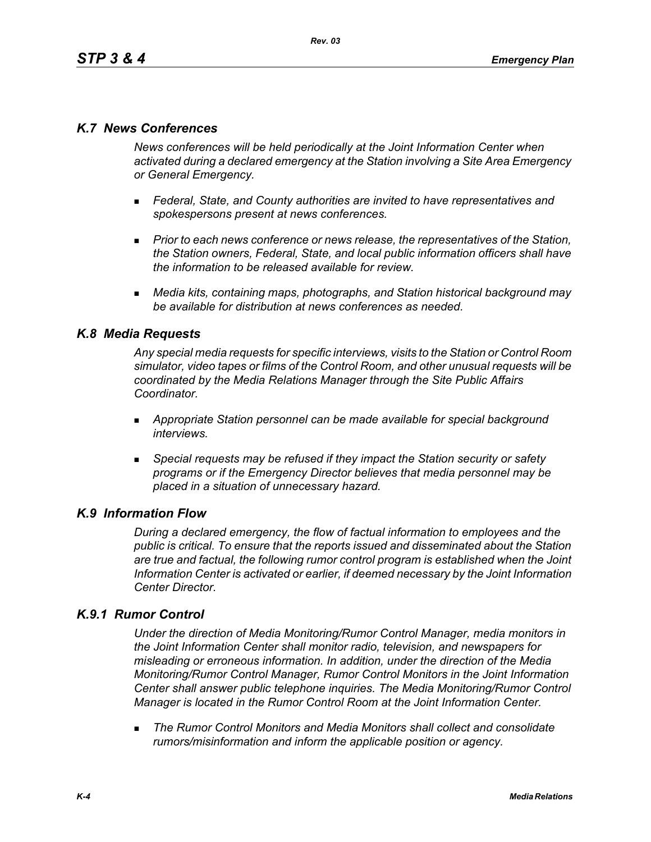## *K.7 News Conferences*

*News conferences will be held periodically at the Joint Information Center when activated during a declared emergency at the Station involving a Site Area Emergency or General Emergency.* 

- *Federal, State, and County authorities are invited to have representatives and spokespersons present at news conferences.*
- **Prior to each news conference or news release, the representatives of the Station,** *the Station owners, Federal, State, and local public information officers shall have the information to be released available for review.*
- *Media kits, containing maps, photographs, and Station historical background may be available for distribution at news conferences as needed.*

## *K.8 Media Requests*

*Any special media requests for specific interviews, visits to the Station or Control Room simulator, video tapes or films of the Control Room, and other unusual requests will be coordinated by the Media Relations Manager through the Site Public Affairs Coordinator.* 

- *Appropriate Station personnel can be made available for special background interviews.*
- *Special requests may be refused if they impact the Station security or safety programs or if the Emergency Director believes that media personnel may be placed in a situation of unnecessary hazard.*

## *K.9 Information Flow*

*During a declared emergency, the flow of factual information to employees and the public is critical. To ensure that the reports issued and disseminated about the Station are true and factual, the following rumor control program is established when the Joint Information Center is activated or earlier, if deemed necessary by the Joint Information Center Director.* 

## *K.9.1 Rumor Control*

*Under the direction of Media Monitoring/Rumor Control Manager, media monitors in the Joint Information Center shall monitor radio, television, and newspapers for misleading or erroneous information. In addition, under the direction of the Media Monitoring/Rumor Control Manager, Rumor Control Monitors in the Joint Information Center shall answer public telephone inquiries. The Media Monitoring/Rumor Control Manager is located in the Rumor Control Room at the Joint Information Center.* 

 *The Rumor Control Monitors and Media Monitors shall collect and consolidate rumors/misinformation and inform the applicable position or agency.*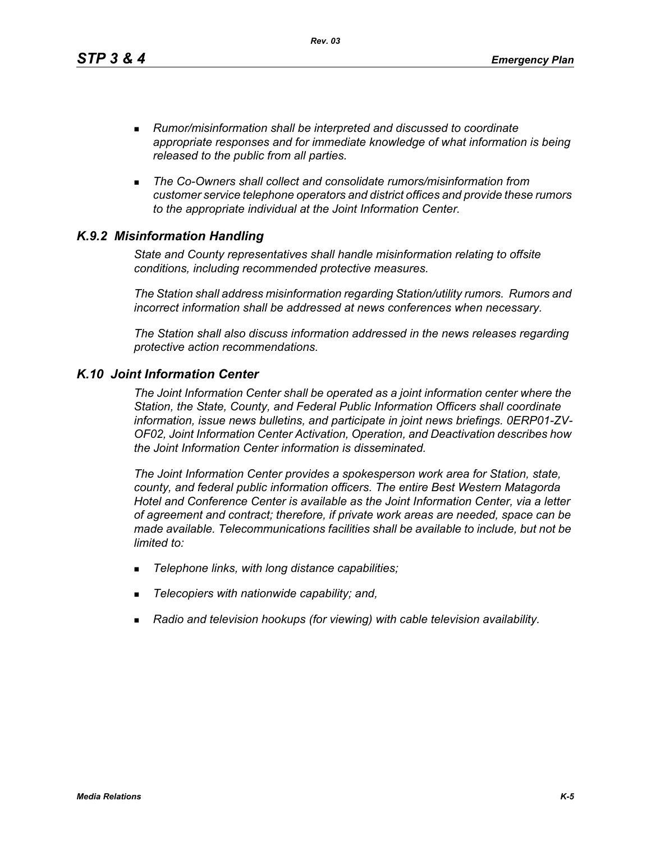*Rev. 03*

- *Rumor/misinformation shall be interpreted and discussed to coordinate appropriate responses and for immediate knowledge of what information is being released to the public from all parties.*
- *The Co-Owners shall collect and consolidate rumors/misinformation from customer service telephone operators and district offices and provide these rumors to the appropriate individual at the Joint Information Center.*

# *K.9.2 Misinformation Handling*

*State and County representatives shall handle misinformation relating to offsite conditions, including recommended protective measures.* 

*The Station shall address misinformation regarding Station/utility rumors. Rumors and incorrect information shall be addressed at news conferences when necessary.* 

*The Station shall also discuss information addressed in the news releases regarding protective action recommendations.* 

## *K.10 Joint Information Center*

*The Joint Information Center shall be operated as a joint information center where the Station, the State, County, and Federal Public Information Officers shall coordinate information, issue news bulletins, and participate in joint news briefings. 0ERP01-ZV-OF02, Joint Information Center Activation, Operation, and Deactivation describes how the Joint Information Center information is disseminated.*

*The Joint Information Center provides a spokesperson work area for Station, state, county, and federal public information officers. The entire Best Western Matagorda Hotel and Conference Center is available as the Joint Information Center, via a letter of agreement and contract; therefore, if private work areas are needed, space can be made available. Telecommunications facilities shall be available to include, but not be limited to:* 

- *Telephone links, with long distance capabilities;*
- *Telecopiers with nationwide capability; and,*
- *Radio and television hookups (for viewing) with cable television availability.*